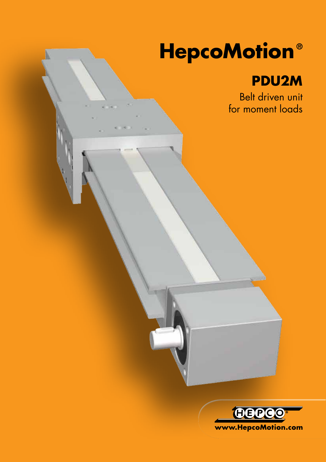# **HepcoMotion ®**

## **PDU2M**

Belt driven unit for moment loads

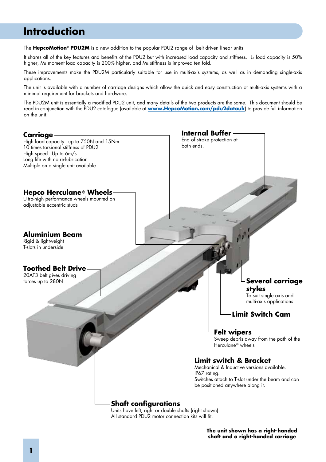## **Introduction**

The **HepcoMotion® PDU2M** is a new addition to the popular PDU2 range of belt driven linear units.

It shares all of the key features and benefits of the PDU2 but with increased load capacity and stiffness. L1 load capacity is 50% higher, Ms moment load capacity is 200% higher, and Ms stiffness is improved ten fold.

These improvements make the PDU2M particularly suitable for use in multi-axis systems, as well as in demanding single-axis applications.

The unit is available with a number of carriage designs which allow the quick and easy construction of multi-axis systems with a minimal requirement for brackets and hardware.

The PDU2M unit is essentially a modified PDU2 unit, and many details of the two products are the same. This document should be read in conjunction with the PDU2 catalogue (available at **www.HepcoMotion.com/pdu2datauk**) to provide full information on the unit.



All standard PDU2 motor connection kits will fit.

**The unit shown has a right-handed shaft and a right-handed carriage**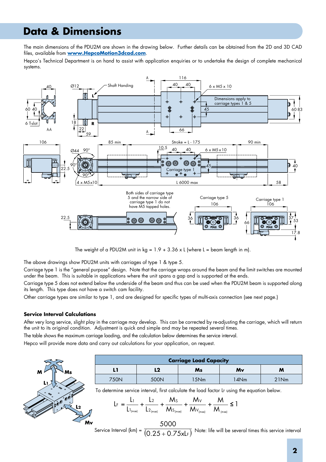## **Data & Dimensions**

The main dimensions of the PDU2M are shown in the drawing below. Further details can be obtained from the 2D and 3D CAD files, available from **www.HepcoMotion3dcad.com**.

Hepco's Technical Department is on hand to assist with application enquiries or to undertake the design of complete mechanical systems.



The weight of a PDU2M unit in  $kg = 1.9 + 3.36 \times L$  (where L = beam length in m).

The above drawings show PDU2M units with carriages of type 1 & type 5.

Carriage type 1 is the "general purpose" design. Note that the carriage wraps around the beam and the limit switches are mounted under the beam. This is suitable in applications where the unit spans a gap and is supported at the ends.

Carriage type 5 does not extend below the underside of the beam and thus can be used when the PDU2M beam is supported along its length. This type does not have a switch cam facility.

Other carriage types are similar to type 1, and are designed for specific types of multi-axis connection (see next page.)

#### **Service Interval Calculations**

After very long service, slight play in the carriage may develop. This can be corrected by re-adjusting the carriage, which will return the unit to its original condition. Adjustment is quick and simple and may be repeated several times.

The table shows the maximum carriage loading, and the calculation below determines the service interval.

Hepco will provide more data and carry out calculations for your application, on request.



| <b>Carriage Load Capacity</b> |      |      |      |      |
|-------------------------------|------|------|------|------|
|                               | L2   | Ms   | Mv   | M    |
| 750N                          | 500N | 15Nm | 14Nm | 21Nm |

To determine service interval, first calculate the load factor LF using the equation below.

$$
L_{F} = \frac{L_{1}}{L_{1_{(max)}}} + \frac{L_{2}}{L_{2_{(max)}}} + \frac{M_{S}}{M_{S_{(max)}}} + \frac{M_{V}}{M_{V_{(max)}}} + \frac{M}{M_{(max)}} \le 1
$$

Service Interval (km) =  $\overline{(QQE+QZE+)}$  Note: life will be several times this service interval  $(0.25 + 0.75xL_F)$ 5000